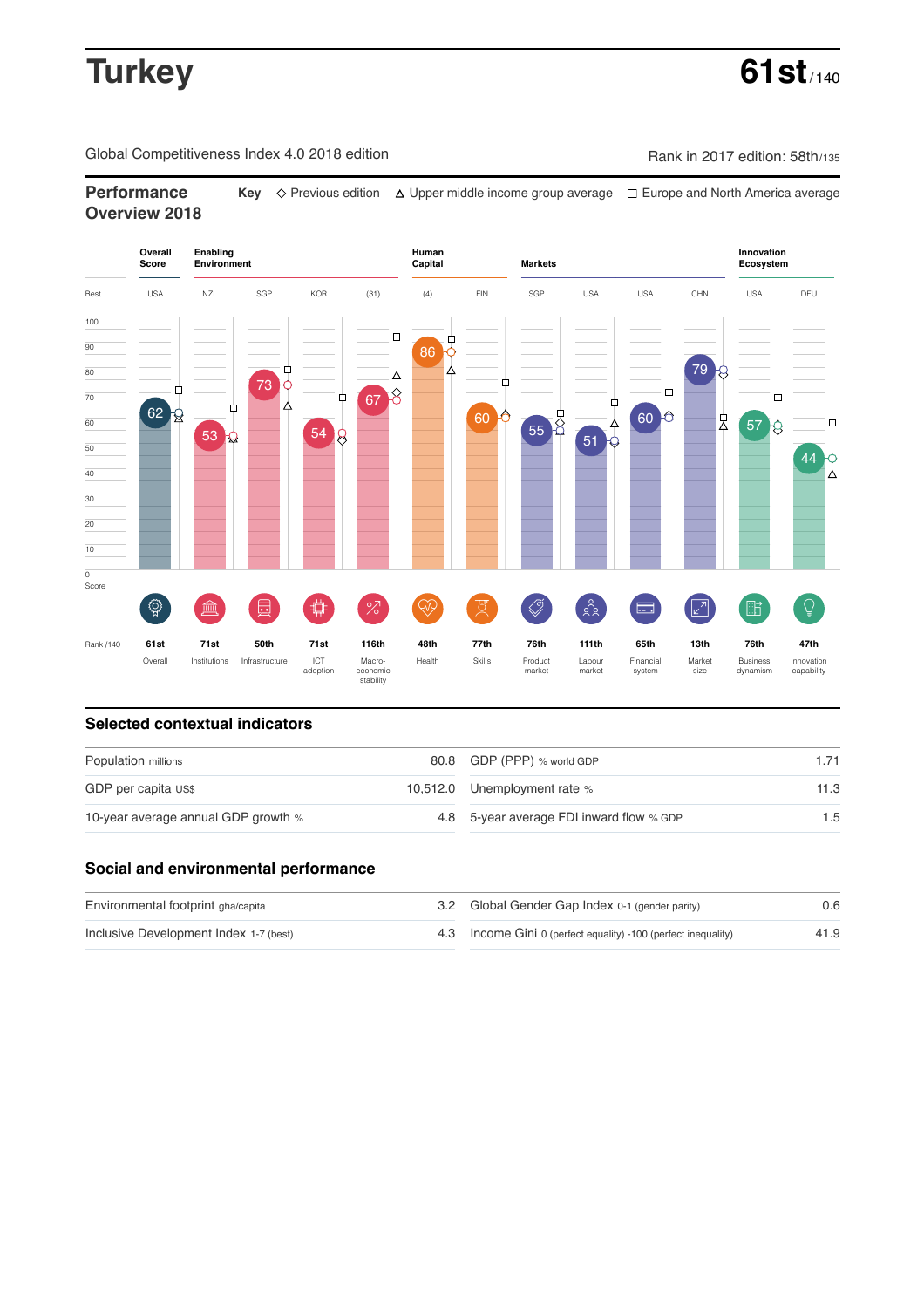# **Turkey 61st**

Global Competitiveness Index 4.0 2018 edition Company Rank in 2017 edition: 58th/135

**Performance** Key  $\Diamond$  Previous edition △ Upper middle income group average □ Europe and North America average **Overview 2018**



## **Selected contextual indicators**

| Population millions                 | 80.8 GDP (PPP) % world GDP               |      |  |
|-------------------------------------|------------------------------------------|------|--|
| GDP per capita US\$                 | 10,512.0 Unemployment rate %             | 11.3 |  |
| 10-year average annual GDP growth % | 4.8 5-year average FDI inward flow % GDP | 1.5  |  |

## **Social and environmental performance**

| Environmental footprint gha/capita     | 3.2 Global Gender Gap Index 0-1 (gender parity)                |      |
|----------------------------------------|----------------------------------------------------------------|------|
| Inclusive Development Index 1-7 (best) | 4.3 Income Gini 0 (perfect equality) -100 (perfect inequality) | 41.9 |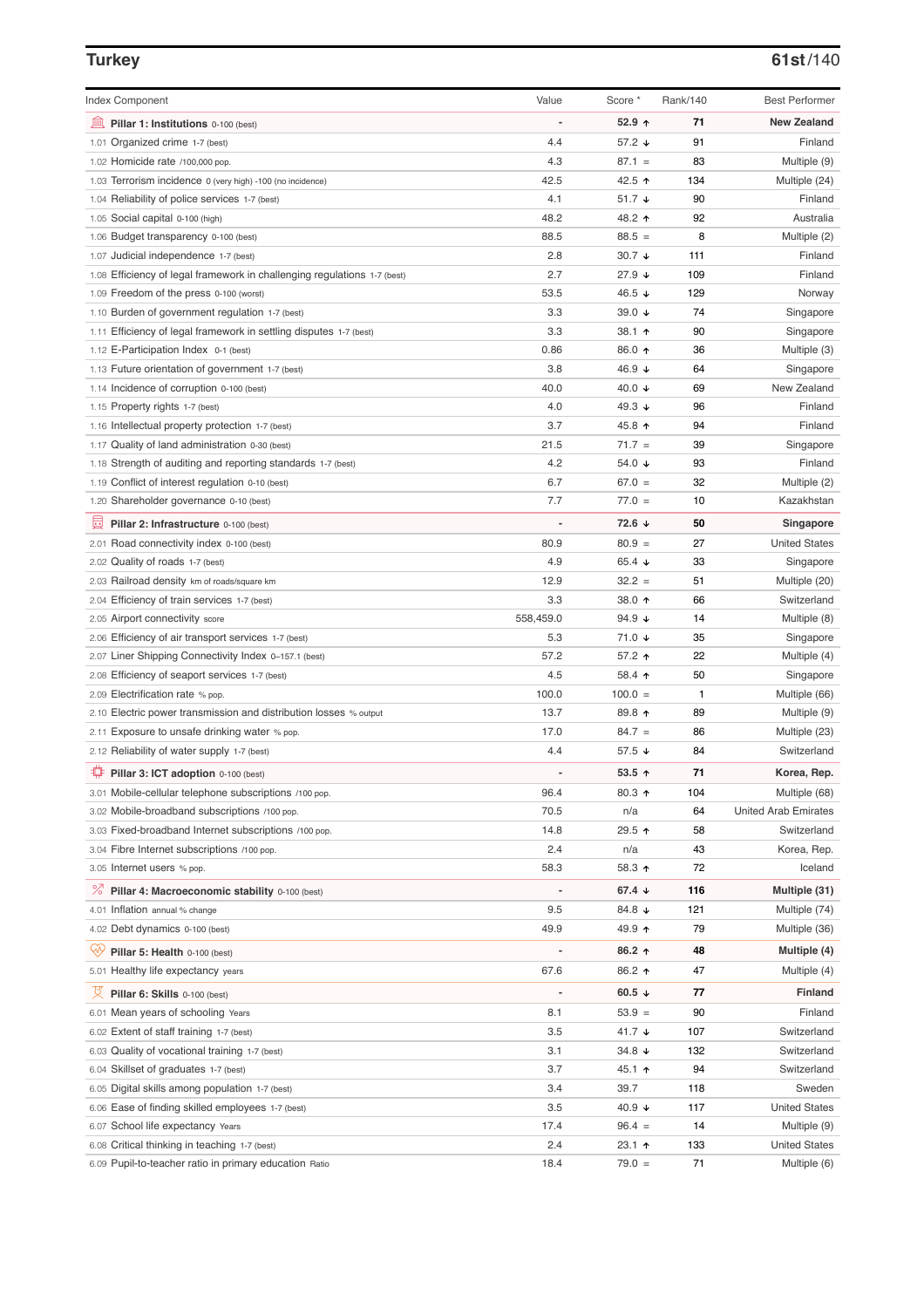## **Turkey 61st**/140

| <b>Index Component</b>                                                   | Value                    | Score *         | Rank/140 | <b>Best Performer</b>       |
|--------------------------------------------------------------------------|--------------------------|-----------------|----------|-----------------------------|
| 寙<br>Pillar 1: Institutions 0-100 (best)                                 | Ĭ.                       | 52.9 ↑          | 71       | <b>New Zealand</b>          |
| 1.01 Organized crime 1-7 (best)                                          | 4.4                      | 57.2 ↓          | 91       | Finland                     |
| 1.02 Homicide rate /100,000 pop.                                         | 4.3                      | $87.1 =$        | 83       | Multiple (9)                |
| 1.03 Terrorism incidence 0 (very high) -100 (no incidence)               | 42.5                     | 42.5 ↑          | 134      | Multiple (24)               |
| 1.04 Reliability of police services 1-7 (best)                           | 4.1                      | 51.7 ↓          | 90       | Finland                     |
| 1.05 Social capital 0-100 (high)                                         | 48.2                     | 48.2 ↑          | 92       | Australia                   |
| 1.06 Budget transparency 0-100 (best)                                    | 88.5                     | $88.5 =$        | 8        | Multiple (2)                |
| 1.07 Judicial independence 1-7 (best)                                    | 2.8                      | 30.7 $\sqrt{ }$ | 111      | Finland                     |
| 1.08 Efficiency of legal framework in challenging regulations 1-7 (best) | 2.7                      | 27.9 ↓          | 109      | Finland                     |
| 1.09 Freedom of the press 0-100 (worst)                                  | 53.5                     | 46.5 $\sqrt{ }$ | 129      | Norway                      |
| 1.10 Burden of government regulation 1-7 (best)                          | 3.3                      | 39.0 $\sqrt{ }$ | 74       | Singapore                   |
| 1.11 Efficiency of legal framework in settling disputes 1-7 (best)       | 3.3                      | 38.1 个          | 90       | Singapore                   |
| 1.12 E-Participation Index 0-1 (best)                                    | 0.86                     | 86.0 个          | 36       | Multiple (3)                |
| 1.13 Future orientation of government 1-7 (best)                         | 3.8                      | 46.9 ↓          | 64       | Singapore                   |
| 1.14 Incidence of corruption 0-100 (best)                                | 40.0                     | 40.0 ↓          | 69       | New Zealand                 |
| 1.15 Property rights 1-7 (best)                                          | 4.0                      | 49.3 $\sqrt{ }$ | 96       | Finland                     |
| 1.16 Intellectual property protection 1-7 (best)                         | 3.7                      | 45.8 ↑          | 94       | Finland                     |
| 1.17 Quality of land administration 0-30 (best)                          | 21.5                     | $71.7 =$        | 39       | Singapore                   |
| 1.18 Strength of auditing and reporting standards 1-7 (best)             | 4.2                      | 54.0 ↓          | 93       | Finland                     |
| 1.19 Conflict of interest regulation 0-10 (best)                         | 6.7                      | $67.0 =$        | 32       | Multiple (2)                |
| 1.20 Shareholder governance 0-10 (best)                                  | 7.7                      | $77.0 =$        | 10       | Kazakhstan                  |
| 員<br>Pillar 2: Infrastructure 0-100 (best)                               | ÷,                       | 72.6 ↓          | 50       | Singapore                   |
| 2.01 Road connectivity index 0-100 (best)                                | 80.9                     | $80.9 =$        | 27       | <b>United States</b>        |
| 2.02 Quality of roads 1-7 (best)                                         | 4.9                      | 65.4 $\sqrt{ }$ | 33       | Singapore                   |
| 2.03 Railroad density km of roads/square km                              | 12.9                     | $32.2 =$        | 51       | Multiple (20)               |
| 2.04 Efficiency of train services 1-7 (best)                             | 3.3                      | 38.0 ↑          | 66       | Switzerland                 |
| 2.05 Airport connectivity score                                          | 558,459.0                | 94.9 $\sqrt{ }$ | 14       | Multiple (8)                |
| 2.06 Efficiency of air transport services 1-7 (best)                     | 5.3                      | 71.0 ↓          | 35       | Singapore                   |
| 2.07 Liner Shipping Connectivity Index 0-157.1 (best)                    | 57.2                     | 57.2 ↑          | 22       | Multiple (4)                |
| 2.08 Efficiency of seaport services 1-7 (best)                           | 4.5                      | 58.4 ↑          | 50       | Singapore                   |
| 2.09 Electrification rate % pop.                                         | 100.0                    | $100.0 =$       | 1        | Multiple (66)               |
| 2.10 Electric power transmission and distribution losses % output        | 13.7                     | 89.8 个          | 89       | Multiple (9)                |
| 2.11 Exposure to unsafe drinking water % pop.                            | 17.0                     | $84.7 =$        | 86       | Multiple (23)               |
| 2.12 Reliability of water supply 1-7 (best)                              | 4.4                      | 57.5 ↓          | 84       | Switzerland                 |
| O<br>Pillar 3: ICT adoption 0-100 (best)                                 |                          | $53.5$ ^        | 71       | Korea, Rep.                 |
| 3.01 Mobile-cellular telephone subscriptions /100 pop.                   | 96.4                     | 80.3 个          | 104      | Multiple (68)               |
| 3.02 Mobile-broadband subscriptions /100 pop.                            | 70.5                     | n/a             | 64       | <b>United Arab Emirates</b> |
| 3.03 Fixed-broadband Internet subscriptions /100 pop.                    | 14.8                     | 29.5 ↑          | 58       | Switzerland                 |
| 3.04 Fibre Internet subscriptions /100 pop.                              | 2.4                      | n/a             | 43       | Korea, Rep.                 |
| 3.05 Internet users % pop.                                               | 58.3                     | 58.3 ↑          | 72       | Iceland                     |
| ℅<br>Pillar 4: Macroeconomic stability 0-100 (best)                      | $\overline{\phantom{a}}$ | 67.4 ↓          | 116      | Multiple (31)               |
| 4.01 Inflation annual % change                                           | 9.5                      | 84.8 ↓          | 121      | Multiple (74)               |
| 4.02 Debt dynamics 0-100 (best)                                          | 49.9                     | 49.9 ↑          | 79       | Multiple (36)               |
| Qÿ<br>Pillar 5: Health 0-100 (best)                                      | ÷                        | 86.2 ↑          | 48       | Multiple (4)                |
| 5.01 Healthy life expectancy years                                       | 67.6                     | 86.2 ↑          | 47       | Multiple (4)                |
| 섯<br>Pillar 6: Skills 0-100 (best)                                       | -                        | 60.5 $\sqrt{ }$ | 77       | Finland                     |
| 6.01 Mean years of schooling Years                                       | 8.1                      | $53.9 =$        | 90       | Finland                     |
| 6.02 Extent of staff training 1-7 (best)                                 | 3.5                      | 41.7 ↓          | 107      | Switzerland                 |
| 6.03 Quality of vocational training 1-7 (best)                           | 3.1                      | 34.8 $\sqrt{ }$ | 132      | Switzerland                 |
| 6.04 Skillset of graduates 1-7 (best)                                    | 3.7                      | 45.1 ↑          | 94       | Switzerland                 |
| 6.05 Digital skills among population 1-7 (best)                          | 3.4                      | 39.7            | 118      | Sweden                      |
| 6.06 Ease of finding skilled employees 1-7 (best)                        | 3.5                      | 40.9 ↓          | 117      | <b>United States</b>        |
| 6.07 School life expectancy Years                                        | 17.4                     | $96.4 =$        | 14       | Multiple (9)                |
| 6.08 Critical thinking in teaching 1-7 (best)                            | 2.4                      | 23.1 ↑          | 133      | <b>United States</b>        |
| 6.09 Pupil-to-teacher ratio in primary education Ratio                   | 18.4                     | $79.0 =$        | 71       | Multiple (6)                |